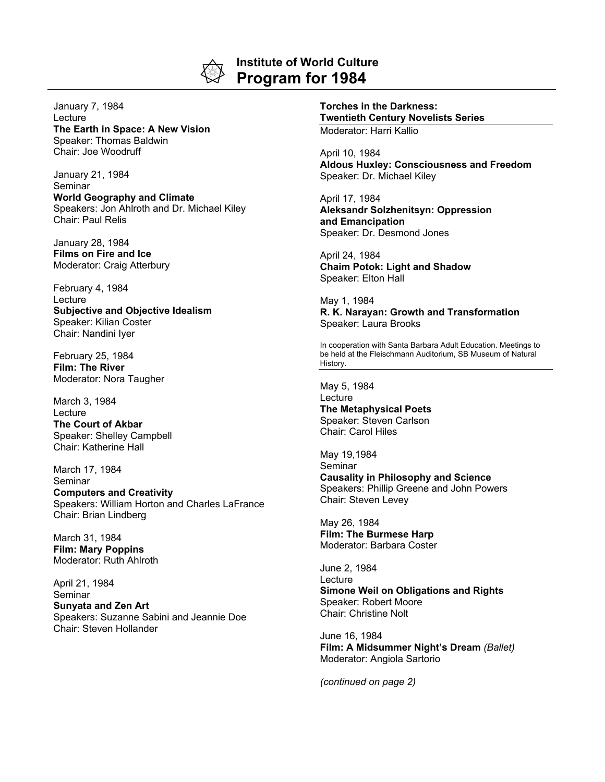

## **Institute of World Culture Program for 1984**

January 7, 1984 Lecture **The Earth in Space: A New Vision** Speaker: Thomas Baldwin Chair: Joe Woodruff

January 21, 1984 Seminar **World Geography and Climate** Speakers: Jon Ahlroth and Dr. Michael Kiley Chair: Paul Relis

January 28, 1984 **Films on Fire and Ice** Moderator: Craig Atterbury

February 4, 1984 Lecture **Subjective and Objective Idealism** Speaker: Kilian Coster Chair: Nandini Iyer

February 25, 1984 **Film: The River** Moderator: Nora Taugher

March 3, 1984 Lecture **The Court of Akbar** Speaker: Shelley Campbell Chair: Katherine Hall

March 17, 1984 Seminar

**Computers and Creativity** Speakers: William Horton and Charles LaFrance Chair: Brian Lindberg

March 31, 1984 **Film: Mary Poppins** Moderator: Ruth Ahlroth

April 21, 1984 Seminar **Sunyata and Zen Art** Speakers: Suzanne Sabini and Jeannie Doe Chair: Steven Hollander

**Torches in the Darkness: Twentieth Century Novelists Series** Moderator: Harri Kallio

April 10, 1984 **Aldous Huxley: Consciousness and Freedom** Speaker: Dr. Michael Kiley

April 17, 1984 **Aleksandr Solzhenitsyn: Oppression and Emancipation** Speaker: Dr. Desmond Jones

April 24, 1984 **Chaim Potok: Light and Shadow** Speaker: Elton Hall

May 1, 1984 **R. K. Narayan: Growth and Transformation** Speaker: Laura Brooks

In cooperation with Santa Barbara Adult Education. Meetings to be held at the Fleischmann Auditorium, SB Museum of Natural History.

May 5, 1984 **Lecture The Metaphysical Poets** Speaker: Steven Carlson Chair: Carol Hiles

May 19,1984 **Seminar Causality in Philosophy and Science** Speakers: Phillip Greene and John Powers Chair: Steven Levey

May 26, 1984 **Film: The Burmese Harp** Moderator: Barbara Coster

June 2, 1984 **Lecture Simone Weil on Obligations and Rights** Speaker: Robert Moore Chair: Christine Nolt

June 16, 1984 **Film: A Midsummer Night's Dream** *(Ballet)* Moderator: Angiola Sartorio

*(continued on page 2)*